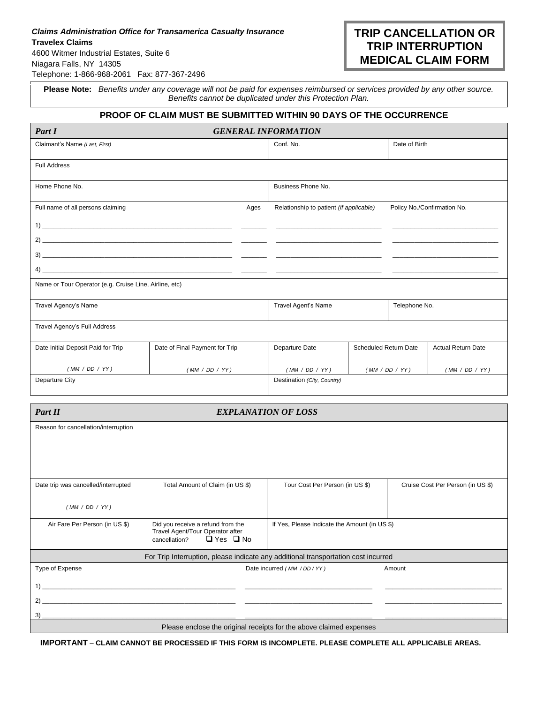## *Claims Administration Office for Transamerica Casualty Insurance* **Travelex Claims** 4600 Witmer Industrial Estates, Suite 6 Niagara Falls, NY 14305

Telephone: 1-866-968-2061Fax: 877-367-2496

**Please Note:** *Benefits under any coverage will not be paid for expenses reimbursed or services provided by any other source. Benefits cannot be duplicated under this Protection Plan.*

## **PROOF OF CLAIM MUST BE SUBMITTED WITHIN 90 DAYS OF THE OCCURRENCE**

| Part I                                                 |                                |                             | <b>GENERAL INFORMATION</b>              |                       |                |                             |
|--------------------------------------------------------|--------------------------------|-----------------------------|-----------------------------------------|-----------------------|----------------|-----------------------------|
| Claimant's Name (Last, First)                          |                                | Conf. No.                   |                                         | Date of Birth         |                |                             |
| <b>Full Address</b>                                    |                                |                             |                                         |                       |                |                             |
| Home Phone No.                                         |                                |                             | Business Phone No.                      |                       |                |                             |
| Full name of all persons claiming                      |                                | Ages                        | Relationship to patient (if applicable) |                       |                | Policy No./Confirmation No. |
|                                                        |                                |                             |                                         |                       |                |                             |
|                                                        |                                |                             |                                         |                       |                |                             |
|                                                        |                                |                             |                                         |                       |                |                             |
| Name or Tour Operator (e.g. Cruise Line, Airline, etc) |                                |                             |                                         |                       |                |                             |
| Travel Agency's Name                                   |                                | Travel Agent's Name         |                                         |                       | Telephone No.  |                             |
| Travel Agency's Full Address                           |                                |                             |                                         |                       |                |                             |
| Date Initial Deposit Paid for Trip                     | Date of Final Payment for Trip |                             | Departure Date                          | Scheduled Return Date |                | <b>Actual Return Date</b>   |
| (MM / DD / YY)                                         | (MM / DD / YY)                 |                             | (MM / DD / YY)                          |                       | (MM / DD / YY) | (MM / DD / YY)              |
| Departure City                                         |                                | Destination (City, Country) |                                         |                       |                |                             |

| Part II                                                                            | <b>EXPLANATION OF LOSS</b>                                            |                                               |                                   |
|------------------------------------------------------------------------------------|-----------------------------------------------------------------------|-----------------------------------------------|-----------------------------------|
| Reason for cancellation/interruption                                               |                                                                       |                                               |                                   |
|                                                                                    |                                                                       |                                               |                                   |
|                                                                                    |                                                                       |                                               |                                   |
|                                                                                    |                                                                       |                                               |                                   |
| Date trip was cancelled/interrupted                                                | Total Amount of Claim (in US \$)                                      | Tour Cost Per Person (in US \$)               | Cruise Cost Per Person (in US \$) |
|                                                                                    |                                                                       |                                               |                                   |
| (MM / DD / YY)                                                                     |                                                                       |                                               |                                   |
| Air Fare Per Person (in US \$)                                                     | Did you receive a refund from the<br>Travel Agent/Tour Operator after | If Yes, Please Indicate the Amount (in US \$) |                                   |
|                                                                                    | $\Box$ Yes $\Box$ No<br>cancellation?                                 |                                               |                                   |
| For Trip Interruption, please indicate any additional transportation cost incurred |                                                                       |                                               |                                   |
| Type of Expense                                                                    |                                                                       | Date incurred (MM / DD / YY)                  | Amount                            |
| 1)                                                                                 |                                                                       |                                               |                                   |
| 2)                                                                                 |                                                                       |                                               |                                   |
| 3)                                                                                 |                                                                       |                                               |                                   |
| Please enclose the original receipts for the above claimed expenses                |                                                                       |                                               |                                   |

**IMPORTANT** – **CLAIM CANNOT BE PROCESSED IF THIS FORM IS INCOMPLETE. PLEASE COMPLETE ALL APPLICABLE AREAS.**

## **TRIP CANCELLATION OR TRIP INTERRUPTION MEDICAL CLAIM FORM**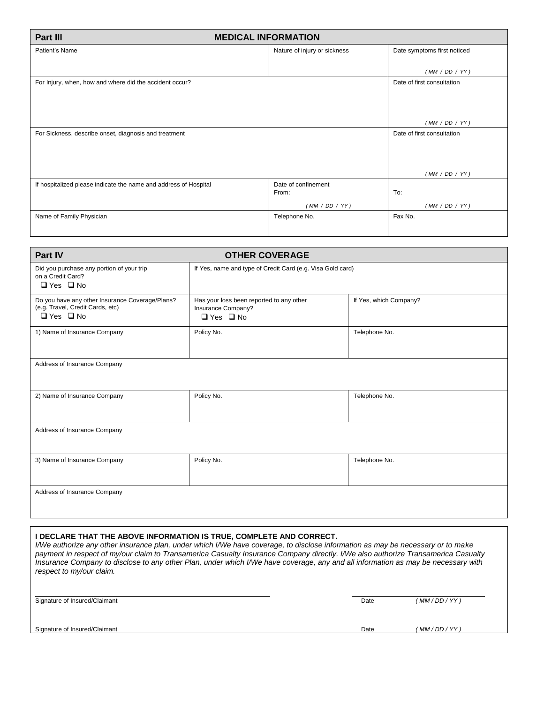| Part III<br><b>MEDICAL INFORMATION</b>                           |                              |                             |  |
|------------------------------------------------------------------|------------------------------|-----------------------------|--|
| Patient's Name                                                   | Nature of injury or sickness | Date symptoms first noticed |  |
|                                                                  |                              |                             |  |
|                                                                  |                              | (MM / DD / YY)              |  |
| For Injury, when, how and where did the accident occur?          |                              | Date of first consultation  |  |
|                                                                  |                              | (MM / DD / YY)              |  |
| For Sickness, describe onset, diagnosis and treatment            |                              | Date of first consultation  |  |
|                                                                  |                              | (MM / DD / YY)              |  |
| If hospitalized please indicate the name and address of Hospital | Date of confinement<br>From: | To:                         |  |
|                                                                  | (MM / DD / YY)               | (MM / DD / YY)              |  |
| Name of Family Physician                                         | Telephone No.                | Fax No.                     |  |

| Part IV                                                                                                     | <b>OTHER COVERAGE</b>                                                                  |                        |  |  |
|-------------------------------------------------------------------------------------------------------------|----------------------------------------------------------------------------------------|------------------------|--|--|
| Did you purchase any portion of your trip<br>on a Credit Card?<br>$\Box$ Yes $\Box$ No                      | If Yes, name and type of Credit Card (e.g. Visa Gold card)                             |                        |  |  |
| Do you have any other Insurance Coverage/Plans?<br>(e.g. Travel, Credit Cards, etc)<br>$\Box$ Yes $\Box$ No | Has your loss been reported to any other<br>Insurance Company?<br>$\Box$ Yes $\Box$ No | If Yes, which Company? |  |  |
| 1) Name of Insurance Company                                                                                | Policy No.                                                                             | Telephone No.          |  |  |
| Address of Insurance Company                                                                                |                                                                                        |                        |  |  |
| 2) Name of Insurance Company                                                                                | Policy No.                                                                             | Telephone No.          |  |  |
| Address of Insurance Company                                                                                |                                                                                        |                        |  |  |
| 3) Name of Insurance Company                                                                                | Policy No.                                                                             | Telephone No.          |  |  |
| Address of Insurance Company                                                                                |                                                                                        |                        |  |  |

## **I DECLARE THAT THE ABOVE INFORMATION IS TRUE, COMPLETE AND CORRECT.**

*I/We authorize any other insurance plan, under which I/We have coverage, to disclose information as may be necessary or to make payment in respect of my/our claim to Transamerica Casualty Insurance Company directly. I/We also authorize Transamerica Casualty Insurance Company to disclose to any other Plan, under which I/We have coverage, any and all information as may be necessary with respect to my/our claim.*

 . . Signature of Insured/Claimant **Date** *(MM/DD/YY)* Date *(MM/DD/YY)*  . . Signature of Insured/Claimant **Date** *(MM/DD/YY)* **Date** *(MM/DD/YY)*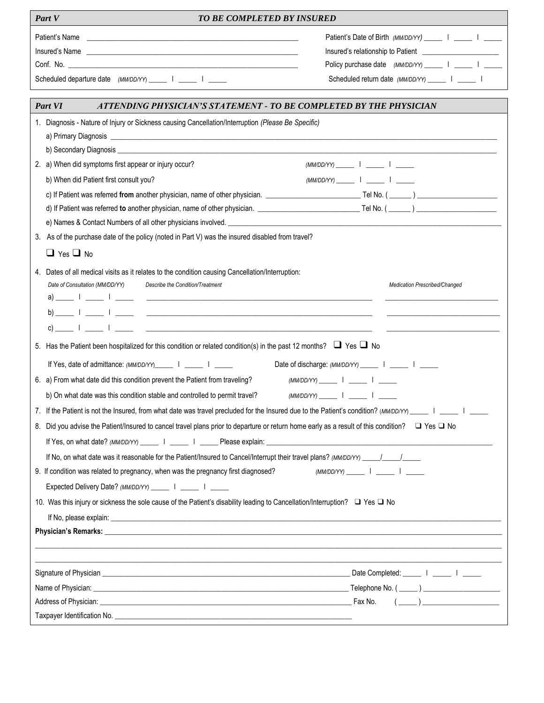| Part V<br><b>TO BE COMPLETED BY INSURED</b>                                                                                                                                                                                                                                                                                                                                                                                                                                                                                                                                                                                                                |                                                                                                         |  |  |
|------------------------------------------------------------------------------------------------------------------------------------------------------------------------------------------------------------------------------------------------------------------------------------------------------------------------------------------------------------------------------------------------------------------------------------------------------------------------------------------------------------------------------------------------------------------------------------------------------------------------------------------------------------|---------------------------------------------------------------------------------------------------------|--|--|
| Patient's Name                                                                                                                                                                                                                                                                                                                                                                                                                                                                                                                                                                                                                                             | Patient's Date of Birth (MM/DD/YY) ______   _____   _____                                               |  |  |
|                                                                                                                                                                                                                                                                                                                                                                                                                                                                                                                                                                                                                                                            |                                                                                                         |  |  |
|                                                                                                                                                                                                                                                                                                                                                                                                                                                                                                                                                                                                                                                            | Policy purchase date (MM/DD/YY) ______   _____   _____                                                  |  |  |
| Scheduled departure date (MM/DD/YY) ______   _____   _____                                                                                                                                                                                                                                                                                                                                                                                                                                                                                                                                                                                                 | Scheduled return date (MM/DD/YY) _______   ______                                                       |  |  |
| Part VI<br>ATTENDING PHYSICIAN'S STATEMENT - TO BE COMPLETED BY THE PHYSICIAN                                                                                                                                                                                                                                                                                                                                                                                                                                                                                                                                                                              |                                                                                                         |  |  |
| 1. Diagnosis - Nature of Injury or Sickness causing Cancellation/Interruption (Please Be Specific)<br>b) Secondary Diagnosis <b>contract to the contract of the contract of the contract of the contract of the contract of the contract of the contract of the contract of the contract of the contract of the contract of the contra</b><br>2. a) When did symptoms first appear or injury occur?                                                                                                                                                                                                                                                        |                                                                                                         |  |  |
| b) When did Patient first consult you?                                                                                                                                                                                                                                                                                                                                                                                                                                                                                                                                                                                                                     | $(MM/DD/YY)$ $1$ $1$ $1$                                                                                |  |  |
| c) If Patient was referred from another physician, name of other physician. The No. (Compared Tel No. (Compared Tel No. (Compared Tel No. (Compared Tel No. (Compared Tel No. (Compared Tel No. (Compared Tel No. (Compared Te                                                                                                                                                                                                                                                                                                                                                                                                                             |                                                                                                         |  |  |
|                                                                                                                                                                                                                                                                                                                                                                                                                                                                                                                                                                                                                                                            |                                                                                                         |  |  |
|                                                                                                                                                                                                                                                                                                                                                                                                                                                                                                                                                                                                                                                            |                                                                                                         |  |  |
| 3. As of the purchase date of the policy (noted in Part V) was the insured disabled from travel?                                                                                                                                                                                                                                                                                                                                                                                                                                                                                                                                                           |                                                                                                         |  |  |
| $\Box$ Yes $\Box$ No                                                                                                                                                                                                                                                                                                                                                                                                                                                                                                                                                                                                                                       |                                                                                                         |  |  |
| 4. Dates of all medical visits as it relates to the condition causing Cancellation/Interruption:<br>Date of Consultation (MM/DD/YY)<br>Describe the Condition/Treatment<br>$\mathsf{c})$ and $\mathsf{c}$ and $\mathsf{c}$ and $\mathsf{c}$ are contained as $\mathsf{c}$ and $\mathsf{c}$ are contained as $\mathsf{c}$ and $\mathsf{c}$ are contained as $\mathsf{c}$ and $\mathsf{c}$ are contained as $\mathsf{c}$ and $\mathsf{c}$ are contained as<br>5. Has the Patient been hospitalized for this condition or related condition(s) in the past 12 months? $\Box$ Yes $\Box$ No<br>If Yes, date of admittance: (MM/DD/YY) ______   ______   ______ | Medication Prescribed/Changed<br>Date of discharge: (MM/DD/YY) ______   _____   _____                   |  |  |
| 6. a) From what date did this condition prevent the Patient from traveling?<br>b) On what date was this condition stable and controlled to permit travel?                                                                                                                                                                                                                                                                                                                                                                                                                                                                                                  | $(MM/DD/YY)$        <br>$(MM/DD/YY)$ $1$ $1$                                                            |  |  |
| 7. If the Patient is not the Insured, from what date was travel precluded for the Insured due to the Patient's condition? (MM/DD/YY) _____   _____                                                                                                                                                                                                                                                                                                                                                                                                                                                                                                         |                                                                                                         |  |  |
| 8. Did you advise the Patient/Insured to cancel travel plans prior to departure or return home early as a result of this condition? □ Yes □ No                                                                                                                                                                                                                                                                                                                                                                                                                                                                                                             |                                                                                                         |  |  |
| If No, on what date was it reasonable for the Patient/Insured to Cancel/Interrupt their travel plans? (MM/DD/YY) /                                                                                                                                                                                                                                                                                                                                                                                                                                                                                                                                         |                                                                                                         |  |  |
| 9. If condition was related to pregnancy, when was the pregnancy first diagnosed?<br>Expected Delivery Date? (MM/DD/YY) ______   _____   _____                                                                                                                                                                                                                                                                                                                                                                                                                                                                                                             | $(MM/DD/YY)$ $\qquad \qquad$ $\qquad$ $\qquad$ $\qquad$ $\qquad$ $\qquad$                               |  |  |
| 10. Was this injury or sickness the sole cause of the Patient's disability leading to Cancellation/Interruption? □ Yes □ No                                                                                                                                                                                                                                                                                                                                                                                                                                                                                                                                |                                                                                                         |  |  |
|                                                                                                                                                                                                                                                                                                                                                                                                                                                                                                                                                                                                                                                            |                                                                                                         |  |  |
|                                                                                                                                                                                                                                                                                                                                                                                                                                                                                                                                                                                                                                                            |                                                                                                         |  |  |
|                                                                                                                                                                                                                                                                                                                                                                                                                                                                                                                                                                                                                                                            |                                                                                                         |  |  |
|                                                                                                                                                                                                                                                                                                                                                                                                                                                                                                                                                                                                                                                            |                                                                                                         |  |  |
|                                                                                                                                                                                                                                                                                                                                                                                                                                                                                                                                                                                                                                                            | $\left(\begin{array}{c} \begin{array}{c} \begin{array}{c} \end{array}\\ \end{array}\right) \end{array}$ |  |  |
|                                                                                                                                                                                                                                                                                                                                                                                                                                                                                                                                                                                                                                                            |                                                                                                         |  |  |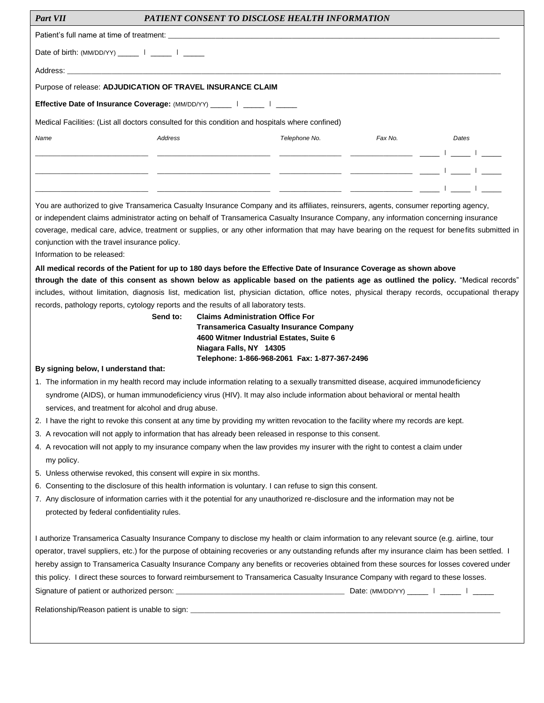| <b>Part VII</b>                                                                                                                                                                 | <b>PATIENT CONSENT TO DISCLOSE HEALTH INFORMATION</b>                                                                                                                                                                                                                                                                                                                                                                                                                                                                                                                              |                                                                       |         |       |
|---------------------------------------------------------------------------------------------------------------------------------------------------------------------------------|------------------------------------------------------------------------------------------------------------------------------------------------------------------------------------------------------------------------------------------------------------------------------------------------------------------------------------------------------------------------------------------------------------------------------------------------------------------------------------------------------------------------------------------------------------------------------------|-----------------------------------------------------------------------|---------|-------|
|                                                                                                                                                                                 |                                                                                                                                                                                                                                                                                                                                                                                                                                                                                                                                                                                    |                                                                       |         |       |
| Date of birth: (MM/DD/YY) ______   _____   _____                                                                                                                                |                                                                                                                                                                                                                                                                                                                                                                                                                                                                                                                                                                                    |                                                                       |         |       |
|                                                                                                                                                                                 |                                                                                                                                                                                                                                                                                                                                                                                                                                                                                                                                                                                    |                                                                       |         |       |
|                                                                                                                                                                                 | Purpose of release: ADJUDICATION OF TRAVEL INSURANCE CLAIM                                                                                                                                                                                                                                                                                                                                                                                                                                                                                                                         |                                                                       |         |       |
|                                                                                                                                                                                 | Effective Date of Insurance Coverage: (MM/DD/YY) _____   ____   _____                                                                                                                                                                                                                                                                                                                                                                                                                                                                                                              |                                                                       |         |       |
|                                                                                                                                                                                 | Medical Facilities: (List all doctors consulted for this condition and hospitals where confined)                                                                                                                                                                                                                                                                                                                                                                                                                                                                                   |                                                                       |         |       |
| Name                                                                                                                                                                            | Address                                                                                                                                                                                                                                                                                                                                                                                                                                                                                                                                                                            | Telephone No.                                                         | Fax No. | Dates |
|                                                                                                                                                                                 |                                                                                                                                                                                                                                                                                                                                                                                                                                                                                                                                                                                    | <u> المساوات المساوات المستخدمات المستخدمات المستخدم</u>              |         |       |
|                                                                                                                                                                                 | للبيالينا النبي للمستحقق المتستحقق المتستحقين المستحققة                                                                                                                                                                                                                                                                                                                                                                                                                                                                                                                            |                                                                       |         |       |
|                                                                                                                                                                                 |                                                                                                                                                                                                                                                                                                                                                                                                                                                                                                                                                                                    | <u> المساوات المساوات المستخدمات المستخدمات المستخدمات المستخدمات</u> |         |       |
|                                                                                                                                                                                 | You are authorized to give Transamerica Casualty Insurance Company and its affiliates, reinsurers, agents, consumer reporting agency,                                                                                                                                                                                                                                                                                                                                                                                                                                              |                                                                       |         |       |
|                                                                                                                                                                                 | or independent claims administrator acting on behalf of Transamerica Casualty Insurance Company, any information concerning insurance                                                                                                                                                                                                                                                                                                                                                                                                                                              |                                                                       |         |       |
|                                                                                                                                                                                 | coverage, medical care, advice, treatment or supplies, or any other information that may have bearing on the request for benefits submitted in                                                                                                                                                                                                                                                                                                                                                                                                                                     |                                                                       |         |       |
| conjunction with the travel insurance policy.<br>Information to be released:                                                                                                    |                                                                                                                                                                                                                                                                                                                                                                                                                                                                                                                                                                                    |                                                                       |         |       |
|                                                                                                                                                                                 | All medical records of the Patient for up to 180 days before the Effective Date of Insurance Coverage as shown above                                                                                                                                                                                                                                                                                                                                                                                                                                                               |                                                                       |         |       |
|                                                                                                                                                                                 | through the date of this consent as shown below as applicable based on the patients age as outlined the policy. "Medical records"                                                                                                                                                                                                                                                                                                                                                                                                                                                  |                                                                       |         |       |
|                                                                                                                                                                                 | includes, without limitation, diagnosis list, medication list, physician dictation, office notes, physical therapy records, occupational therapy                                                                                                                                                                                                                                                                                                                                                                                                                                   |                                                                       |         |       |
|                                                                                                                                                                                 | records, pathology reports, cytology reports and the results of all laboratory tests.                                                                                                                                                                                                                                                                                                                                                                                                                                                                                              |                                                                       |         |       |
|                                                                                                                                                                                 | Send to:<br><b>Claims Administration Office For</b>                                                                                                                                                                                                                                                                                                                                                                                                                                                                                                                                | <b>Transamerica Casualty Insurance Company</b>                        |         |       |
|                                                                                                                                                                                 |                                                                                                                                                                                                                                                                                                                                                                                                                                                                                                                                                                                    | 4600 Witmer Industrial Estates, Suite 6                               |         |       |
|                                                                                                                                                                                 | Niagara Falls, NY 14305                                                                                                                                                                                                                                                                                                                                                                                                                                                                                                                                                            |                                                                       |         |       |
| By signing below, I understand that:                                                                                                                                            |                                                                                                                                                                                                                                                                                                                                                                                                                                                                                                                                                                                    | Telephone: 1-866-968-2061 Fax: 1-877-367-2496                         |         |       |
|                                                                                                                                                                                 | 1. The information in my health record may include information relating to a sexually transmitted disease, acquired immunodeficiency                                                                                                                                                                                                                                                                                                                                                                                                                                               |                                                                       |         |       |
|                                                                                                                                                                                 | syndrome (AIDS), or human immunodeficiency virus (HIV). It may also include information about behavioral or mental health                                                                                                                                                                                                                                                                                                                                                                                                                                                          |                                                                       |         |       |
| services, and treatment for alcohol and drug abuse.                                                                                                                             |                                                                                                                                                                                                                                                                                                                                                                                                                                                                                                                                                                                    |                                                                       |         |       |
|                                                                                                                                                                                 | 2. I have the right to revoke this consent at any time by providing my written revocation to the facility where my records are kept.                                                                                                                                                                                                                                                                                                                                                                                                                                               |                                                                       |         |       |
|                                                                                                                                                                                 | 3. A revocation will not apply to information that has already been released in response to this consent.                                                                                                                                                                                                                                                                                                                                                                                                                                                                          |                                                                       |         |       |
| 4. A revocation will not apply to my insurance company when the law provides my insurer with the right to contest a claim under<br>my policy.                                   |                                                                                                                                                                                                                                                                                                                                                                                                                                                                                                                                                                                    |                                                                       |         |       |
|                                                                                                                                                                                 | 5. Unless otherwise revoked, this consent will expire in six months.                                                                                                                                                                                                                                                                                                                                                                                                                                                                                                               |                                                                       |         |       |
| 6. Consenting to the disclosure of this health information is voluntary. I can refuse to sign this consent.                                                                     |                                                                                                                                                                                                                                                                                                                                                                                                                                                                                                                                                                                    |                                                                       |         |       |
| 7. Any disclosure of information carries with it the potential for any unauthorized re-disclosure and the information may not be<br>protected by federal confidentiality rules. |                                                                                                                                                                                                                                                                                                                                                                                                                                                                                                                                                                                    |                                                                       |         |       |
|                                                                                                                                                                                 | I authorize Transamerica Casualty Insurance Company to disclose my health or claim information to any relevant source (e.g. airline, tour<br>operator, travel suppliers, etc.) for the purpose of obtaining recoveries or any outstanding refunds after my insurance claim has been settled. I<br>hereby assign to Transamerica Casualty Insurance Company any benefits or recoveries obtained from these sources for losses covered under<br>this policy. I direct these sources to forward reimbursement to Transamerica Casualty Insurance Company with regard to these losses. |                                                                       |         |       |
|                                                                                                                                                                                 |                                                                                                                                                                                                                                                                                                                                                                                                                                                                                                                                                                                    |                                                                       |         |       |